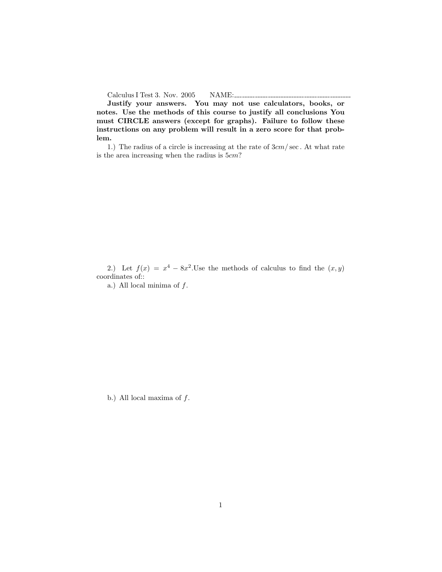Calculus I Test 3. Nov. 2005 NAME:

Justify your answers. You may not use calculators, books, or notes. Use the methods of this course to justify all conclusions You must CIRCLE answers (except for graphs). Failure to follow these instructions on any problem will result in a zero score for that problem.

1.) The radius of a circle is increasing at the rate of  $3cm/sec$ . At what rate is the area increasing when the radius is 5cm?

2.) Let  $f(x) = x^4 - 8x^2$ . Use the methods of calculus to find the  $(x, y)$ coordinates of::

a.) All local minima of  $f$ .

b.) All local maxima of  $f$ .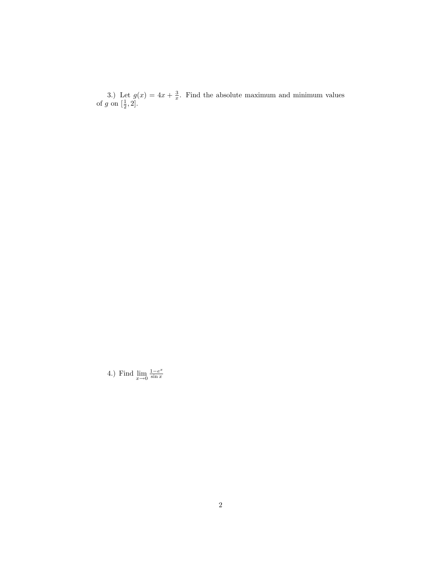3.) Let  $g(x) = 4x + \frac{3}{x}$ . Find the absolute maximum and minimum values of g on  $\left[\frac{1}{2},2\right]$ .

4.) Find  $\lim_{x\to 0} \frac{1-e^x}{\sin x}$  $\sin x$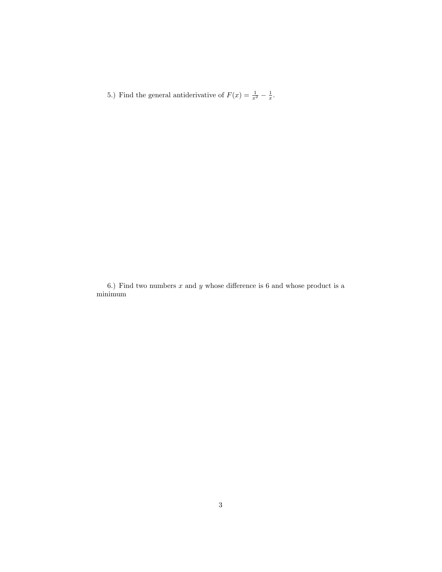5.) Find the general antiderivative of  $F(x) = \frac{1}{x^2} - \frac{1}{x}$ .

6.) Find two numbers  $x$  and  $y$  whose difference is 6 and whose product is a minimum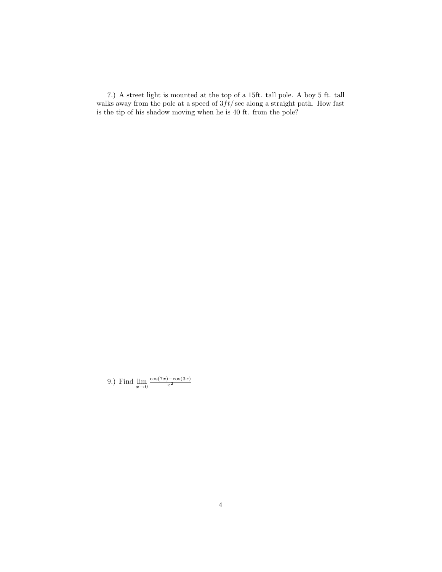7.) A street light is mounted at the top of a 15ft. tall pole. A boy 5 ft. tall walks away from the pole at a speed of  $3ft/\sqrt{sec}$  along a straight path. How fast is the tip of his shadow moving when he is 40 ft. from the pole?

9.) Find  $\lim_{x\to 0} \frac{\cos(7x) - \cos(3x)}{x^2}$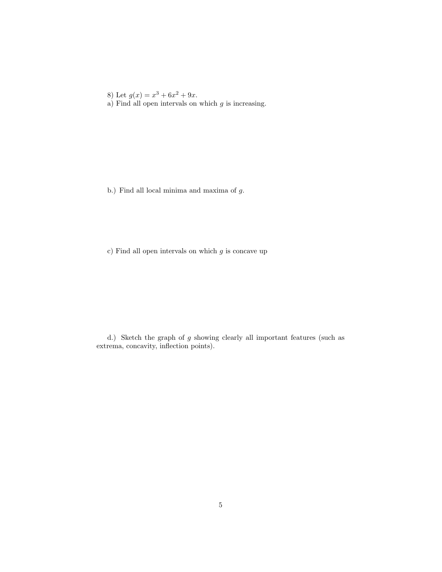8) Let  $g(x) = x^3 + 6x^2 + 9x$ .

a) Find all open intervals on which  $g$  is increasing.

b.) Find all local minima and maxima of g.

c) Find all open intervals on which  $g$  is concave up

d.) Sketch the graph of g showing clearly all important features (such as extrema, concavity, inflection points).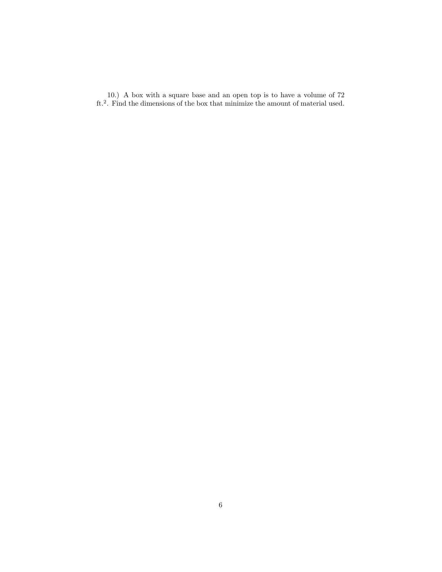10.) A box with a square base and an open top is to have a volume of 72 ft.<sup>2</sup> . Find the dimensions of the box that minimize the amount of material used.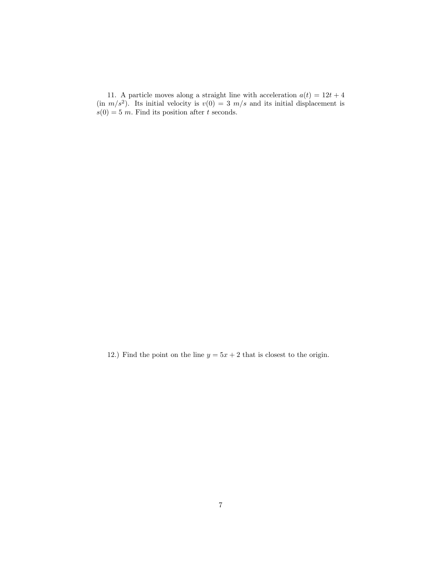11. A particle moves along a straight line with acceleration  $a(t) = 12t + 4$  $(in \, m/s^2)$ . Its initial velocity is  $v(0) = 3 \, m/s$  and its initial displacement is  $s(0) = 5$  m. Find its position after t seconds.

12.) Find the point on the line  $y = 5x + 2$  that is closest to the origin.